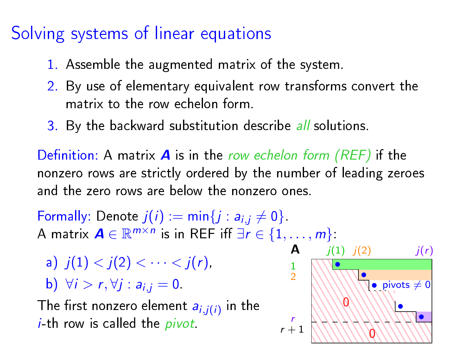# Solving systems of linear equations

- 1. Assemble the augmented matrix of the system.
- 2. By use of elementary equivalent row transforms convert the matrix to the row echelon form.
- 3. By the backward substitution describe all solutions.

Definition: A matrix  $\bm{A}$  is in the row echelon form (REF) if the nonzero rows are strictly ordered by the number of leading zeroes and the zero rows are below the nonzero ones.

Formally: Denote  $j(i) := min\{j : a_{i,j} \neq 0\}$ . A matrix  $A \in \mathbb{R}^{m \times n}$  is in REF iff  $\exists r \in \{1, \ldots, m\}$ .

a)  $i(1) < i(2) < \cdots < i(r)$ 

b) 
$$
\forall i > r, \forall j : a_{i,j} = 0
$$

The first nonzero element  $a_{i,j(i)}$  in the  $i$ -th row is called the *pivot*.

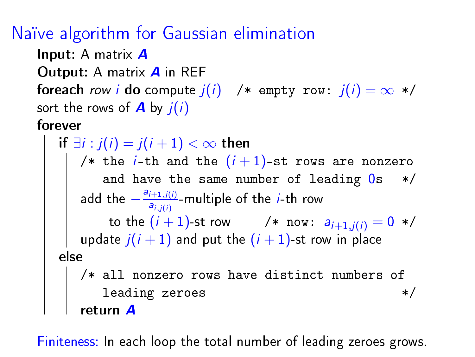### Naïve algorithm for Gaussian elimination

Input: A matrix **A** Output: A matrix **A** in REF foreach row *i* do compute  $j(i)$  /\* empty row:  $j(i) = \infty$  \*/ sort the rows of  $\bf{A}$  by  $j(i)$ 

#### forever

```
if \exists i: j(i)=j(i+1)<\infty then
    /* the i-th and the (i+1)-st rows are nonzero
        and have the same number of leading 0s */
    add the -\frac{a_{i+1,j(i)}}{a_{i,j(i)}}\frac{\partial f^{+1},f(t)}{\partial i,j(i)}-multiple of the i-th row
         to the (i+1)-st row \qquad /* \, now: \,a_{i+1,j(i)}=0\, */ \,update \overline{j}(i+1) and put the (i+1) st row in place
else
    /* all nonzero rows have distinct numbers of
        leading zeroes */return A
```
Finiteness: In each loop the total number of leading zeroes grows.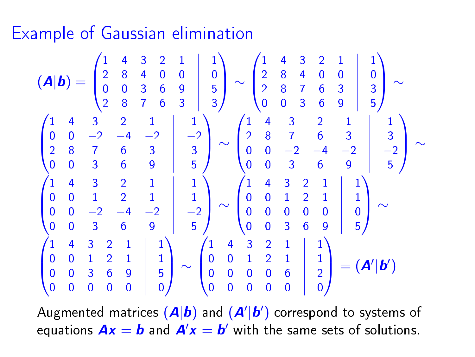### Example of Gaussian elimination

$$
(\mathbf{A}|\mathbf{b}) = \begin{pmatrix} 1 & 4 & 3 & 2 & 1 & 1 \\ 2 & 8 & 4 & 0 & 0 & 0 & 0 \\ 0 & 0 & 3 & 6 & 9 & 5 \\ 2 & 8 & 7 & 6 & 3 & 3 \end{pmatrix} \sim \begin{pmatrix} 1 & 4 & 3 & 2 & 1 & 1 \\ 2 & 8 & 4 & 0 & 0 & 0 & 0 \\ 2 & 8 & 7 & 6 & 3 & 3 & 3 \\ 0 & 0 & 3 & 6 & 9 & 5 \end{pmatrix} \sim \begin{pmatrix} 1 & 4 & 3 & 2 & 1 & 1 \\ 2 & 8 & 7 & 6 & 3 & 3 \\ 0 & 0 & 3 & 6 & 9 & 5 \end{pmatrix} \sim \begin{pmatrix} 1 & 4 & 3 & 2 & 1 & 1 \\ 2 & 8 & 7 & 6 & 3 & 3 \\ 0 & 0 & -2 & -4 & -2 & -2 \\ 0 & 0 & 3 & 6 & 9 & 5 \end{pmatrix} \sim \begin{pmatrix} 1 & 4 & 3 & 2 & 1 & 1 \\ 0 & 0 & -2 & -4 & -2 & -2 \\ 0 & 0 & 3 & 6 & 9 & 5 \\ 0 & 0 & 0 & 0 & 0 & 0 \end{pmatrix} \sim \begin{pmatrix} 1 & 4 & 3 & 2 & 1 & 1 \\ 0 & 0 & 1 & 2 & 1 & 1 \\ 0 & 0 & 0 & 3 & 6 & 9 & 5 \\ 0 & 0 & 3 & 6 & 9 & 5 \end{pmatrix} \sim \begin{pmatrix} 1 & 4 & 3 & 2 & 1 & 1 \\ 0 & 0 & 1 & 2 & 1 & 1 \\ 0 & 0 & 0 & 3 & 6 & 9 & 5 \\ 0 & 0 & 0 & 0 & 0 & 6 & 2 \\ 0 & 0 & 0 & 0 & 0 & 0 & 0 \end{pmatrix} = (\mathbf{A}'|\mathbf{b}')
$$

Augmented matrices  $(\bm{A}|\bm{b})$  and  $(\bm{A}'|\bm{b}')$  correspond to systems of equations  $\bm{A}\bm{x}=\bm{b}$  and  $\bm{A}'\bm{x}=\bm{b}'$  with the same sets of solutions.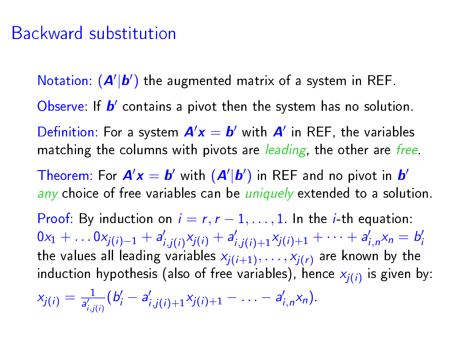### Backward substitution

Notation:  $(A'|b')$  the augmented matrix of a system in REF.

Observe: If  $b'$  contains a pivot then the system has no solution.

Definition: For a system  $A'x = b'$  with  $A'$  in REF, the variables matching the columns with pivots are *leading*, the other are *free*.

Theorem: For  $\mathbf{A}'\mathbf{x} = \mathbf{b}'$  with  $(\mathbf{A}'|\mathbf{b}')$  in REF and no pivot in  $\mathbf{b}'$ any choice of free variables can be *uniquely* extended to a solution.

Proof: By induction on  $i = r, r - 1, \ldots, 1$ . In the *i*-th equation:  $0x_1 + \ldots 0x_{j(i)-1} + a'_{i,j(i)}x_{j(i)} + a'_{i,j(i)+1}x_{j(i)+1} + \cdots + a'_{i,n}x_n = b'_n$ the values all leading variables  $x_{j(i+1)},\ldots,x_{j(r)}$  are known by the induction hypothesis (also of free variables), hence  $x_{j(i)}$  is given by:

 $x_{j(i)} = \frac{1}{a'_{i}}$  $\frac{1}{a_{i,j(i)}^l}(b_i'-a_{i,j(i)+1}'x_{j(i)+1}-\ldots-a_{i,n}'x_n).$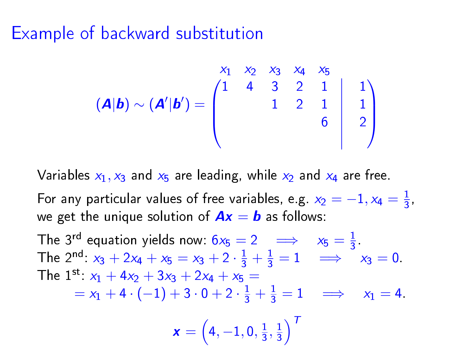#### Example of backward substitution

$$
(\mathbf{A}|\mathbf{b}) \sim (\mathbf{A}'|\mathbf{b}') = \begin{pmatrix} x_1 & x_2 & x_3 & x_4 & x_5 \\ 1 & 4 & 3 & 2 & 1 & 1 \\ & & 1 & 2 & 1 & 1 \\ & & & 6 & 2 \end{pmatrix}
$$

Variables  $x_1, x_3$  and  $x_5$  are leading, while  $x_2$  and  $x_4$  are free.

For any particular values of free variables, e.g.  $x_2 = -1, x_4 = \frac{1}{3}$  $\frac{1}{3}$ we get the unique solution of  $Ax = b$  as follows:

The 3<sup>rd</sup> equation yields now:  $6x_5 = 2 \implies x_5 = \frac{1}{3}$  $\frac{1}{3}$ The 2<sup>nd</sup>:  $x_3 + 2x_4 + x_5 = x_3 + 2 \cdot \frac{1}{3} + \frac{1}{3} = 1 \implies x_3 = 0$ . The  $1^{st}$ :  $x_1 + 4x_2 + 3x_3 + 2x_4 + x_5 =$  $= x_1 + 4 \cdot (-1) + 3 \cdot 0 + 2 \cdot \frac{1}{3} + \frac{1}{3} = 1 \implies x_1 = 4.$  $\pmb{x}=\left(4,-1,0,\frac{1}{3}\right)$  $\frac{1}{3}, \frac{1}{3}$  $\frac{1}{3}$ <sup>T</sup>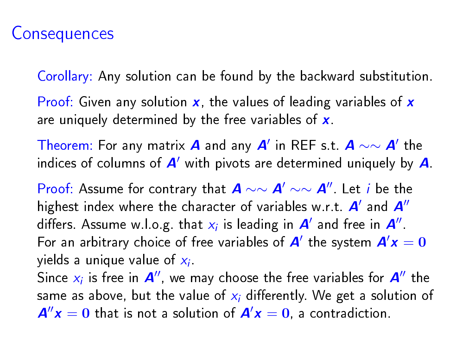## **Consequences**

Corollary: Any solution can be found by the backward substitution.

Proof: Given any solution  $x$ , the values of leading variables of  $x$ are uniquely determined by the free variables of x.

Theorem: For any matrix  $\bm{A}$  and any  $\bm{A}'$  in REF s.t.  $\bm{A} \sim \sim \bm{A}'$  the indices of columns of  $A'$  with pivots are determined uniquely by  $A$ .

Proof: Assume for contrary that  $A \sim \sim A' \sim A''$ . Let *i* be the highest index where the character of variables w.r.t.  $A'$  and  $A''$ differs. Assume w.l.o.g. that  $x_i$  is leading in  $\boldsymbol{A}'$  and free in  $\boldsymbol{A}''$ . For an arbitrary choice of free variables of  $A'$  the system  $A'x = 0$ yields a unique value of  $\mathsf{x}_{i}$ .

Since  $x_i$  is free in  $A''$ , we may choose the free variables for  $A''$  the same as above, but the value of  $x_i$  differently. We get a solution of  $A''x = 0$  that is not a solution of  $A'x = 0$ , a contradiction.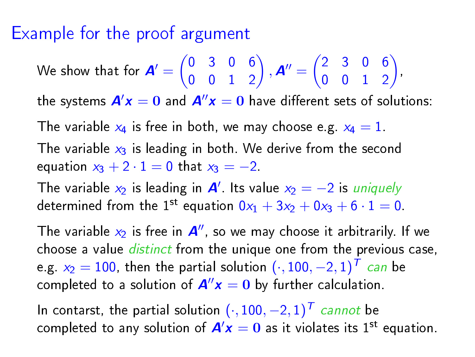## Example for the proof argument

We show that for  $\mathbf{A}' = \begin{pmatrix} 0 & 3 & 0 & 6 \\ 0 & 0 & 1 & 3 \end{pmatrix}$ 0 0 1 2 ),  $A'' = \begin{pmatrix} 2 & 3 & 0 & 6 \\ 0 & 0 & 1 & 3 \end{pmatrix}$ 0 0 1 2 , the systems  $A'x = 0$  and  $A''x = 0$  have different sets of solutions: The variable  $x_4$  is free in both, we may choose e.g.  $x_4 = 1$ . The variable  $x_3$  is leading in both. We derive from the second equation  $x_3 + 2 \cdot 1 = 0$  that  $x_3 = -2$ . The variable  $x_2$  is leading in  $A'$ . Its value  $x_2 = -2$  is uniquely determined from the 1<sup>st</sup> equation  $0x_1 + 3x_2 + 0x_3 + 6 \cdot 1 = 0$ . The variable  $x_2$  is free in  $A''$ , so we may choose it arbitrarily. If we choose a value *distinct* from the unique one from the previous case, e.g.  $x_2=100$ , then the partial solution  $(\cdot,100,-2,1)^{\textstyle \top}$  can be completed to a solution of  $A''x = 0$  by further calculation.

In contarst, the partial solution  $(\cdot, 100, -2, 1)^T$  cannot be completed to any solution of  $A/x = 0$  as it violates its 1<sup>st</sup> equation.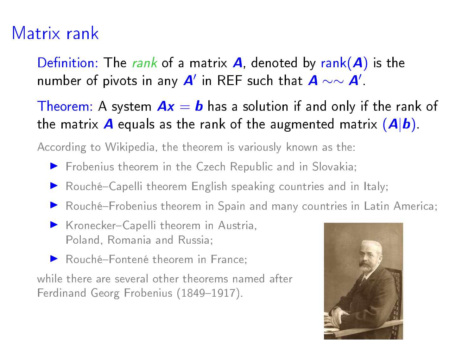# Matrix rank

Definition: The rank of a matrix **A**, denoted by rank(**A**) is the number of pivots in any  $\bm{A}'$  in REF such that  $\bm{A} \sim \sim \bm{A}'$ .

Theorem: A system  $Ax = b$  has a solution if and only if the rank of the matrix **A** equals as the rank of the augmented matrix  $(A|b)$ .

According to Wikipedia, the theorem is variously known as the:

- **Frobenius theorem in the Czech Republic and in Slovakia;**
- Rouché-Capelli theorem English speaking countries and in Italy;
- Rouché-Frobenius theorem in Spain and many countries in Latin America;
- ▶ Kronecker-Capelli theorem in Austria, Poland, Romania and Russia;
- Rouché-Fontené theorem in France;

while there are several other theorems named after Ferdinand Georg Frobenius (1849-1917).